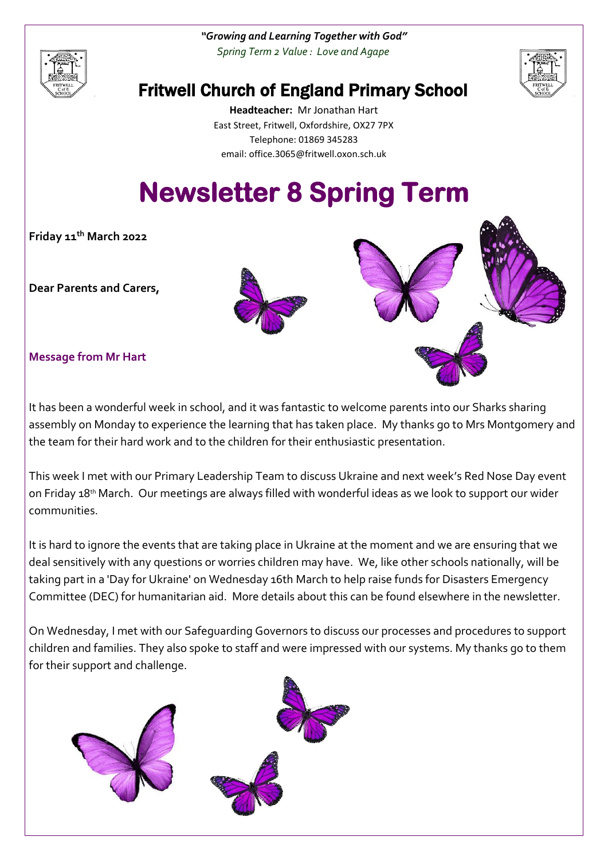*"Growing and Learning Together with God" Spring Term 2 Value : Love and Agape*





# Fritwell Church of England Primary School

**Headteacher:** Mr Jonathan Hart East Street, Fritwell, Oxfordshire, OX27 7PX Telephone: 01869 345283 [email: office.3065@f](mailto:email:%20office.3065@)ritwell.oxon.sch.uk

# **Newsletter 8 Spring Term**

**Friday 11th March 2022**

**Dear Parents and Carers,**



# **Message from Mr Hart**

It has been a wonderful week in school, and it was fantastic to welcome parents into our Sharks sharing assembly on Monday to experience the learning that has taken place. My thanks go to Mrs Montgomery and the team for their hard work and to the children for their enthusiastic presentation.

This week I met with our Primary Leadership Team to discuss Ukraine and next week's Red Nose Day event on Friday 18th March. Our meetings are always filled with wonderful ideas as we look to support our wider communities.

It is hard to ignore the events that are taking place in Ukraine at the moment and we are ensuring that we deal sensitively with any questions or worries children may have. We, like other schools nationally, will be taking part in a 'Day for Ukraine' on Wednesday 16th March to help raise funds for Disasters Emergency Committee (DEC) for humanitarian aid. More details about this can be found elsewhere in the newsletter.

On Wednesday, I met with our Safeguarding Governors to discuss our processes and procedures to support children and families. They also spoke to staff and were impressed with our systems. My thanks go to them for their support and challenge.

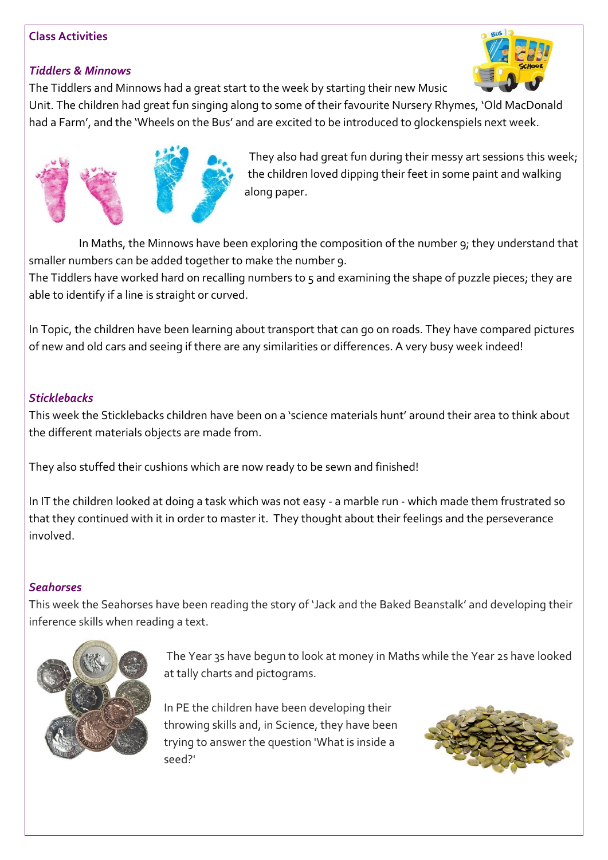#### **Class Activities**

# *Tiddlers & Minnows*

The Tiddlers and Minnows had a great start to the week by starting their new Music

Unit. The children had great fun singing along to some of their favourite Nursery Rhymes, 'Old MacDonald had a Farm', and the 'Wheels on the Bus' and are excited to be introduced to glockenspiels next week.



They also had great fun during their messy art sessions this week; the children loved dipping their feet in some paint and walking along paper.

In Maths, the Minnows have been exploring the composition of the number 9; they understand that smaller numbers can be added together to make the number 9.

The Tiddlers have worked hard on recalling numbers to 5 and examining the shape of puzzle pieces; they are able to identify if a line is straight or curved.

In Topic, the children have been learning about transport that can go on roads. They have compared pictures of new and old cars and seeing if there are any similarities or differences. A very busy week indeed!

# *Sticklebacks*

This week the Sticklebacks children have been on a 'science materials hunt' around their area to think about the different materials objects are made from.

They also stuffed their cushions which are now ready to be sewn and finished!

In IT the children looked at doing a task which was not easy - a marble run - which made them frustrated so that they continued with it in order to master it. They thought about their feelings and the perseverance involved.

#### *Seahorses*

This week the Seahorses have been reading the story of 'Jack and the Baked Beanstalk' and developing their inference skills when reading a text.



The Year 3s have begun to look at money in Maths while the Year 2s have looked at tally charts and pictograms.

In PE the children have been developing their throwing skills and, in Science, they have been trying to answer the question 'What is inside a seed?'



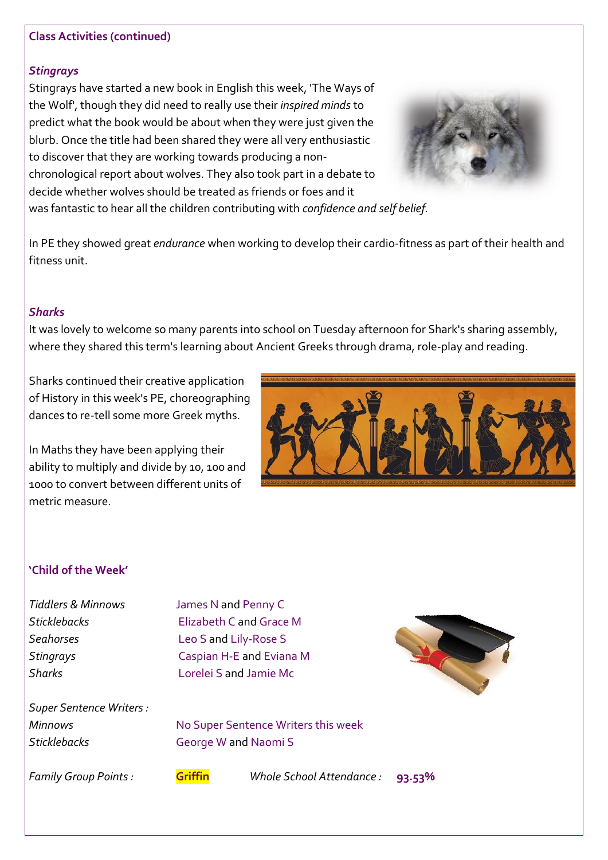#### **Class Activities (continued)**

#### *Stingrays*

Stingrays have started a new book in English this week, 'The Ways of the Wolf', though they did need to really use their *inspired minds* to predict what the book would be about when they were just given the blurb. Once the title had been shared they were all very enthusiastic to discover that they are working towards producing a nonchronological report about wolves. They also took part in a debate to decide whether wolves should be treated as friends or foes and it was fantastic to hear all the children contributing with *confidence and self belief.*



In PE they showed great *endurance* when working to develop their cardio-fitness as part of their health and fitness unit.

#### *Sharks*

It was lovely to welcome so many parents into school on Tuesday afternoon for Shark's sharing assembly, where they shared this term's learning about Ancient Greeks through drama, role-play and reading.

Sharks continued their creative application of History in this week's PE, choreographing dances to re-tell some more Greek myths.

In Maths they have been applying their ability to multiply and divide by 10, 100 and 1000 to convert between different units of metric measure.



### **'Child of the Week'**

*Tiddlers & Minnows* James N and Penny C *Sticklebacks* Elizabeth C and Grace M *Seahorses* Leo S and Lily-Rose S *Stingrays* Caspian H-E and Eviana M *Sharks* Lorelei S and Jamie Mc

*Super Sentence Writers : Sticklebacks* George W and Naomi S

*Minnows* Mo Super Sentence Writers this week

*Family Group Points :* **Griffin** *Whole School Attendance :* **93.53%**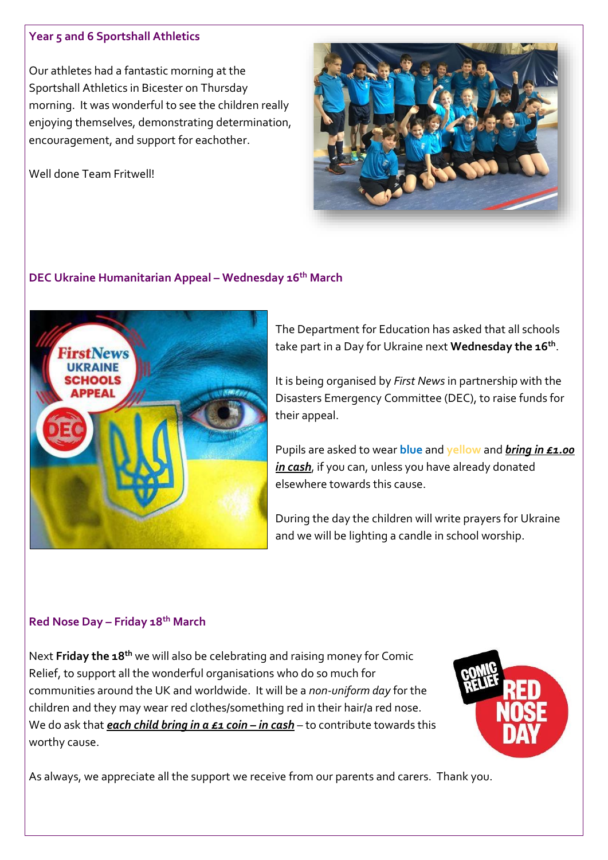#### **Year 5 and 6 Sportshall Athletics**

Our athletes had a fantastic morning at the Sportshall Athletics in Bicester on Thursday morning. It was wonderful to see the children really enjoying themselves, demonstrating determination, encouragement, and support for eachother.

Well done Team Fritwell!



# **DEC Ukraine Humanitarian Appeal – Wednesday 16th March**



The Department for Education has asked that all schools take part in a Day for Ukraine next **Wednesday the 16th** .

It is being organised by *First News* in partnership with the Disasters Emergency Committee (DEC), to raise funds for their appeal.

Pupils are asked to wear **blue** and **yellow** and *bring in £1.00 in cash*, if you can, unless you have already donated elsewhere towards this cause.

During the day the children will write prayers for Ukraine and we will be lighting a candle in school worship.

# **Red Nose Day – Friday 18th March**

Next **Friday the 18th** we will also be celebrating and raising money for Comic Relief, to support all the wonderful organisations who do so much for communities around the UK and worldwide. It will be a *non-uniform day* for the children and they may wear red clothes/something red in their hair/a red nose. We do ask that **each child bring in a £1 coin – in cash** – to contribute towards this worthy cause.



As always, we appreciate all the support we receive from our parents and carers. Thank you.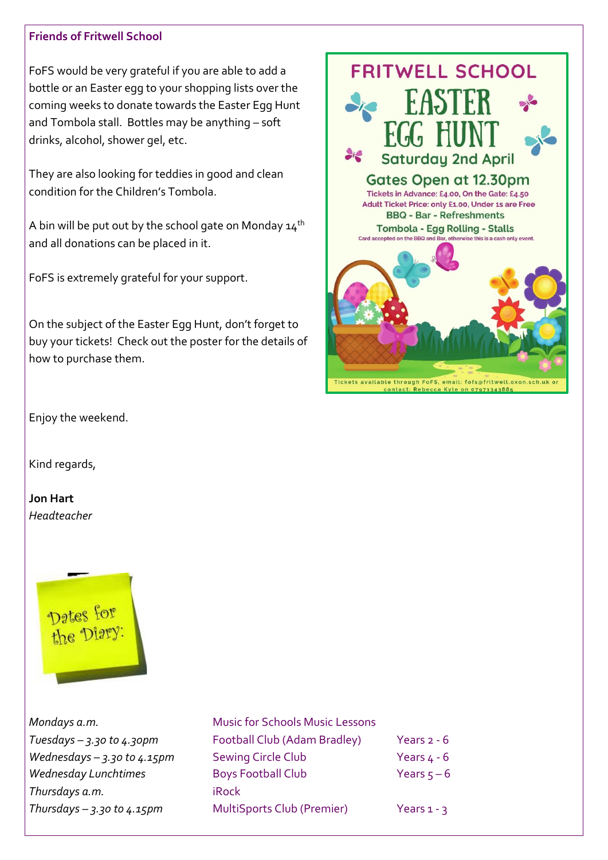#### **Friends of Fritwell School**

FoFS would be very grateful if you are able to add a bottle or an Easter egg to your shopping lists over the coming weeks to donate towards the Easter Egg Hunt and Tombola stall. Bottles may be anything – soft drinks, alcohol, shower gel, etc.

They are also looking for teddies in good and clean condition for the Children's Tombola.

A bin will be put out by the school gate on Monday  $14<sup>th</sup>$ and all donations can be placed in it.

FoFS is extremely grateful for your support.

On the subject of the Easter Egg Hunt, don't forget to buy your tickets! Check out the poster for the details of how to purchase them.



Enjoy the weekend.

Kind regards,

**Jon Hart** *Headteacher*



*Thursdays a.m.* iRock

*Mondays a.m.* Music for Schools Music Lessons *Tuesdays – 3.30 to 4.30pm* Football Club (Adam Bradley) Years 2 - 6 *Wednesdays – 3.30 to 4.15pm* Sewing Circle Club Years 4 - 6 Wednesday Lunchtimes **Boys Football Club** Years 5-6 *Thursdays – 3.30 to 4.15pm* MultiSports Club (Premier) Years 1 - 3